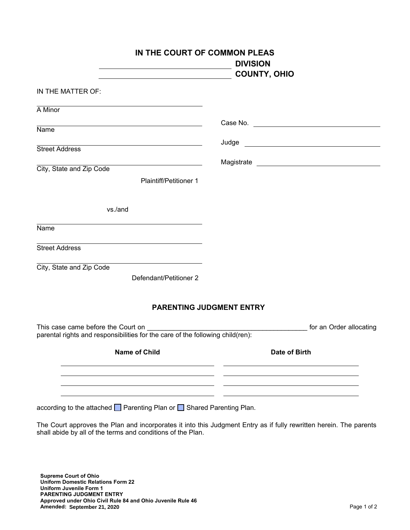| IN THE COURT OF COMMON PLEAS                                                                                                          | <b>DIVISION</b><br><b>COUNTY, OHIO</b>                               |
|---------------------------------------------------------------------------------------------------------------------------------------|----------------------------------------------------------------------|
| IN THE MATTER OF:                                                                                                                     |                                                                      |
| $\overline{A}$ Minor                                                                                                                  |                                                                      |
| Name                                                                                                                                  |                                                                      |
| <u> 1989 - Johann Stein, marwolaethau a bhann an t-Amhair an t-Amhair an t-Amhair an t-Amhair an t-Amhair an t-A</u>                  |                                                                      |
| <b>Street Address</b>                                                                                                                 |                                                                      |
| the contract of the contract of the contract of the contract of the contract of<br>City, State and Zip Code                           |                                                                      |
| <b>Plaintiff/Petitioner 1</b>                                                                                                         |                                                                      |
| vs./and                                                                                                                               |                                                                      |
| Name                                                                                                                                  |                                                                      |
| <u> 1989 - Johann Barn, amerikansk politiker (d. 1989)</u><br><b>Street Address</b>                                                   |                                                                      |
| <u> 1989 - Johann Barn, fransk politik (d. 1989)</u><br>City, State and Zip Code                                                      |                                                                      |
| Defendant/Petitioner 2                                                                                                                |                                                                      |
| <b>PARENTING JUDGMENT ENTRY</b>                                                                                                       |                                                                      |
| This case came before the Court on ________________<br>parental rights and responsibilities for the care of the following child(ren): | for an Order allocating<br><u> 1990 - Jan Barbara Barat, prima a</u> |
| <b>Name of Child</b>                                                                                                                  | Date of Birth                                                        |
|                                                                                                                                       |                                                                      |
|                                                                                                                                       |                                                                      |
|                                                                                                                                       |                                                                      |

according to the attached Parenting Plan or Shared Parenting Plan.

The Court approves the Plan and incorporates it into this Judgment Entry as if fully rewritten herein. The parents shall abide by all of the terms and conditions of the Plan.

**Supreme Court of Ohio Uniform Domestic Relations Form 22 Uniform Juvenile Form 1 PARENTING JUDGMENT ENTRY Approved under Ohio Civil Rule 84 and Ohio Juvenile Rule 46 Amended:** Page 1 of 2 **September 21, 2020**